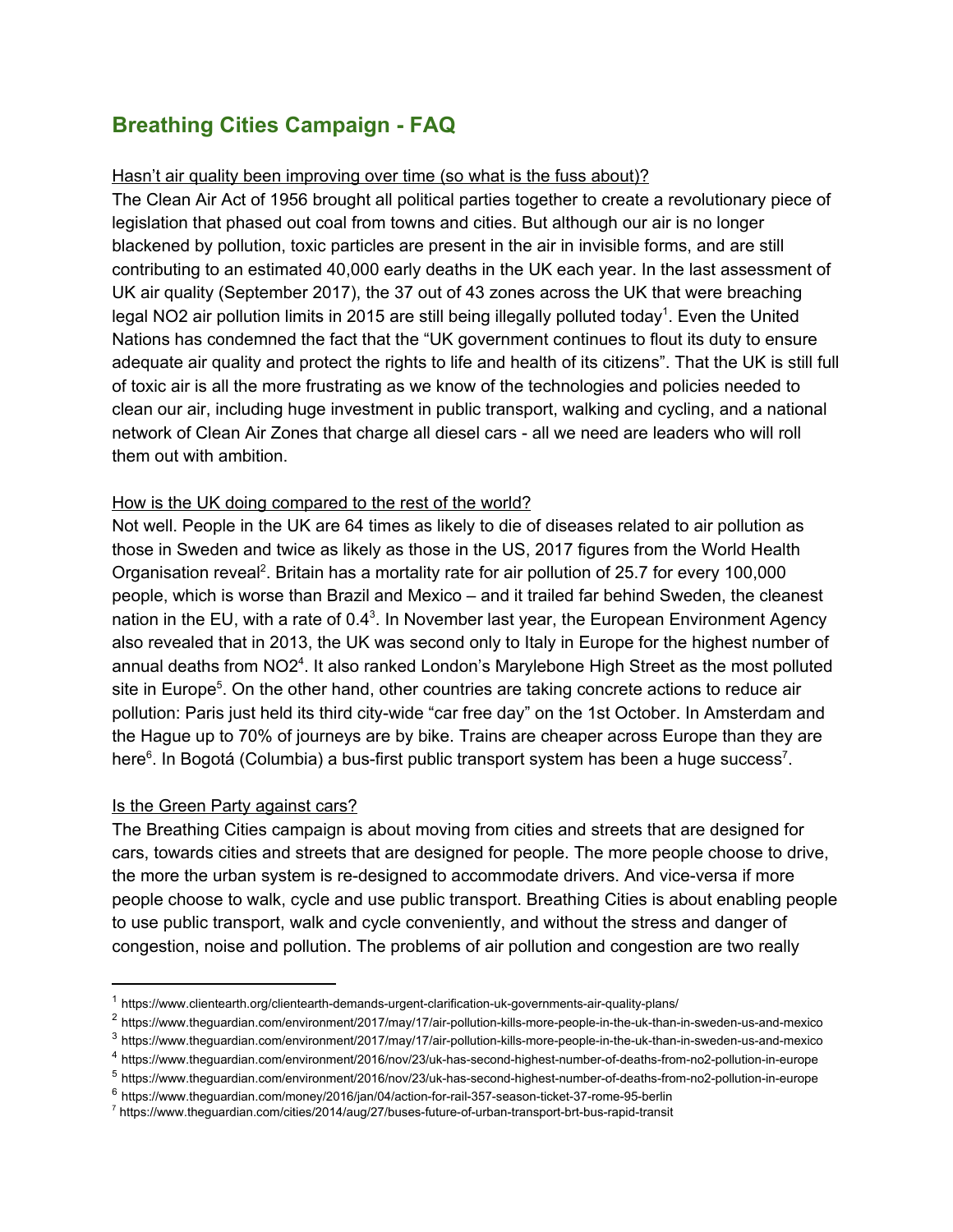# **Breathing Cities Campaign - FAQ**

#### Hasn't air quality been improving over time (so what is the fuss about)?

The Clean Air Act of 1956 brought all political parties together to create a revolutionary piece of legislation that phased out coal from towns and cities. But although our air is no longer blackened by pollution, toxic particles are present in the air in invisible forms, and are still contributing to an estimated 40,000 early deaths in the UK each year. In the last assessment of UK air quality (September 2017), the 37 out of 43 zones across the UK that were breaching legal NO2 air pollution limits in 2015 are still being illegally polluted today<sup>1</sup>. Even the United Nations has condemned the fact that the "UK government continues to flout its duty to ensure adequate air quality and protect the rights to life and health of its citizens". That the UK is still full of toxic air is all the more frustrating as we know of the technologies and policies needed to clean our air, including huge investment in public transport, walking and cycling, and a national network of Clean Air Zones that charge all diesel cars - all we need are leaders who will roll them out with ambition.

#### How is the UK doing compared to the rest of the world?

Not well. People in the UK are 64 times as likely to die of diseases related to air pollution as those in Sweden and twice as likely as those in the US, 2017 figures from the World [Health](https://www.theguardian.com/society/health) Organisation reveal<sup>2</sup>. Britain has a mortality rate for air pollution of 25.7 for every 100,000 people, which is worse than Brazil and Mexico – and it trailed far behind Sweden, the cleanest nation in the EU, with a rate of  $0.4<sup>3</sup>$ . In November last year, the European Environment Agency also revealed that in 2013, the UK was [second](https://www.theguardian.com/environment/2016/nov/23/uk-has-second-highest-number-of-deaths-from-no2-pollution-in-europe) only to Italy in Europe for the highest number of annual deaths from  $NO2<sup>4</sup>$ . It also ranked London's Marylebone High Street as the most polluted site in Europe<sup>5</sup>. On the other hand, other countries are taking concrete actions to reduce air pollution: Paris just held its third city-wide "car free day" on the 1st October. In Amsterdam and the Hague up to 70% of [journeys](http://www.bbc.co.uk/news/magazine-23587916) are by bike. Trains are [cheaper](https://www.theguardian.com/money/datablog/2017/jan/06/tracking-the-cost-uk-and-european-commuter-rail-fares-compared-in-data) across Europe than they are here $^6$ . In Bogotá (Columbia) a bus-first public transport system has been a huge success<sup>7</sup>.

#### Is the Green Party against cars?

The Breathing Cities campaign is about moving from cities and streets that are designed for cars, towards cities and streets that are designed for people. The more people choose to drive, the more the urban system is re-designed to accommodate drivers. And vice-versa if more people choose to walk, cycle and use public transport. Breathing Cities is about enabling people to use public transport, walk and cycle conveniently, and without the stress and danger of congestion, noise and pollution. The problems of air pollution and congestion are two really

<sup>1</sup> https://www.clientearth.org/clientearth-demands-urgent-clarification-uk-governments-air-quality-plans/

<sup>2</sup> https://www.theguardian.com/environment/2017/may/17/air-pollution-kills-more-people-in-the-uk-than-in-sweden-us-and-mexico

<sup>3</sup> https://www.theguardian.com/environment/2017/may/17/air-pollution-kills-more-people-in-the-uk-than-in-sweden-us-and-mexico

<sup>4</sup> https://www.theguardian.com/environment/2016/nov/23/uk-has-second-highest-number-of-deaths-from-no2-pollution-in-europe

<sup>5</sup> https://www.theguardian.com/environment/2016/nov/23/uk-has-second-highest-number-of-deaths-from-no2-pollution-in-europe

<sup>6</sup> https://www.theguardian.com/money/2016/jan/04/action-for-rail-357-season-ticket-37-rome-95-berlin

<sup>7</sup> https://www.theguardian.com/cities/2014/aug/27/buses-future-of-urban-transport-brt-bus-rapid-transit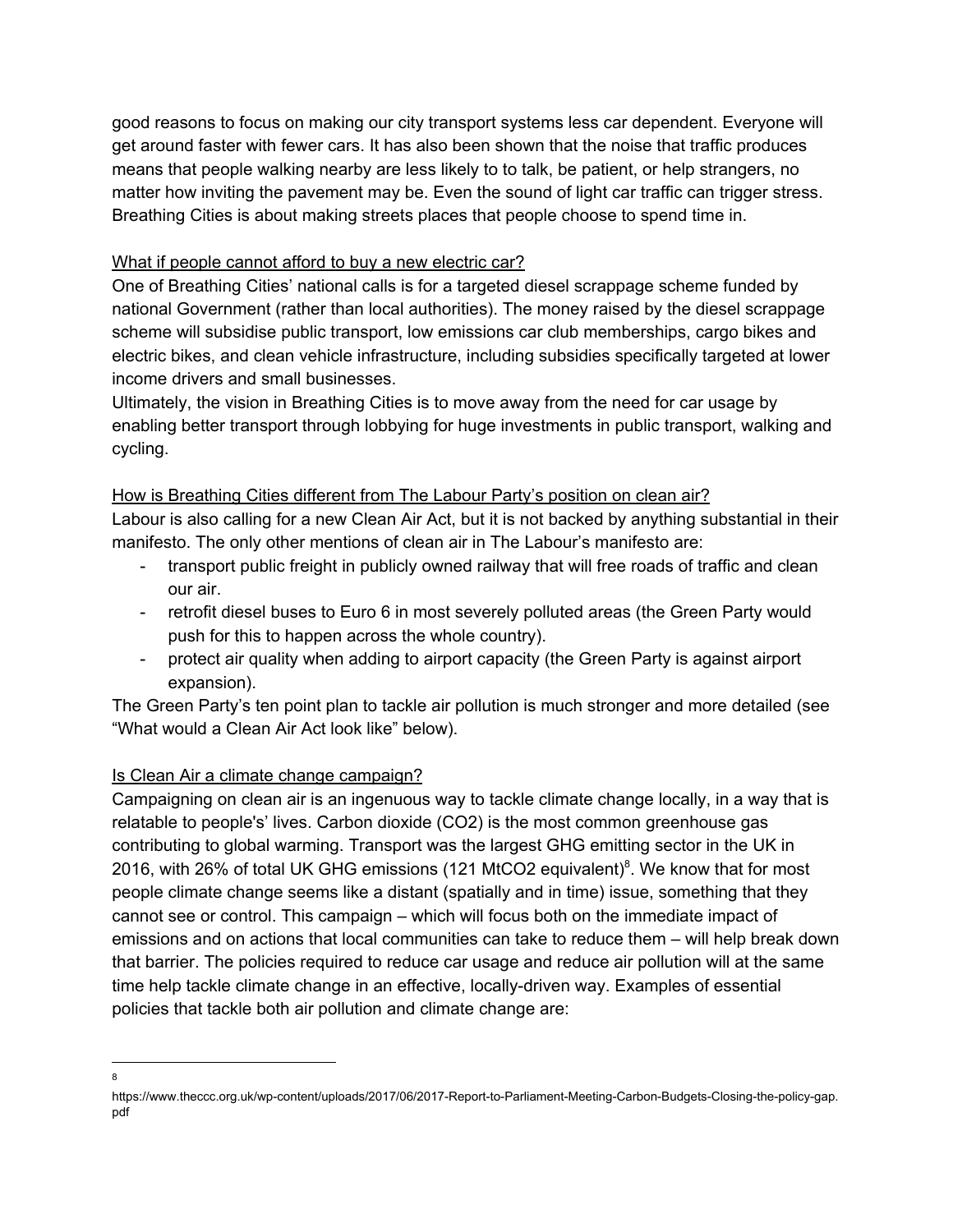good reasons to focus on making our city transport systems less car dependent. Everyone will get around faster with fewer cars. It has also been shown that the noise that traffic produces means that people walking nearby are less likely to to talk, be patient, or help strangers, no matter how inviting the pavement may be. Even the sound of light car traffic can trigger stress. Breathing Cities is about making streets places that people choose to spend time in.

## What if people cannot afford to buy a new electric car?

One of Breathing Cities' national calls is for a targeted diesel scrappage scheme funded by national Government (rather than local authorities). The money raised by the diesel scrappage scheme will subsidise public transport, low emissions car club memberships, cargo bikes and electric bikes, and clean vehicle infrastructure, including subsidies specifically targeted at lower income drivers and small businesses.

Ultimately, the vision in Breathing Cities is to move away from the need for car usage by enabling better transport through lobbying for huge investments in public transport, walking and cycling.

### How is Breathing Cities different from The Labour Party's position on clean air?

Labour is also calling for a new Clean Air Act, but it is not backed by anything substantial in their manifesto. The only other mentions of clean air in The Labour's manifesto are:

- transport public freight in publicly owned railway that will free roads of traffic and clean our air.
- retrofit diesel buses to Euro 6 in most severely polluted areas (the Green Party would push for this to happen across the whole country).
- protect air quality when adding to airport capacity (the Green Party is against airport expansion).

The Green Party's ten point plan to tackle air pollution is much stronger and more detailed (see "What would a Clean Air Act look like" below).

## Is Clean Air a climate change campaign?

Campaigning on clean air is an ingenuous way to tackle climate change locally, in a way that is relatable to people's' lives. Carbon dioxide (CO2) is the most common greenhouse gas contributing to global warming. Transport was the largest GHG emitting sector in the UK in 2016, with 26% of total UK GHG emissions (121 MtCO2 equivalent)<sup>8</sup>. We know that for most people climate change seems like a distant (spatially and in time) issue, something that they cannot see or control. This campaign – which will focus both on the immediate impact of emissions and on actions that local communities can take to reduce them – will help break down that barrier. The policies required to reduce car usage and reduce air pollution will at the same time help tackle climate change in an effective, locally-driven way. Examples of essential policies that tackle both air pollution and climate change are:

<sup>8</sup>

https://www.theccc.org.uk/wp-content/uploads/2017/06/2017-Report-to-Parliament-Meeting-Carbon-Budgets-Closing-the-policy-gap. pdf